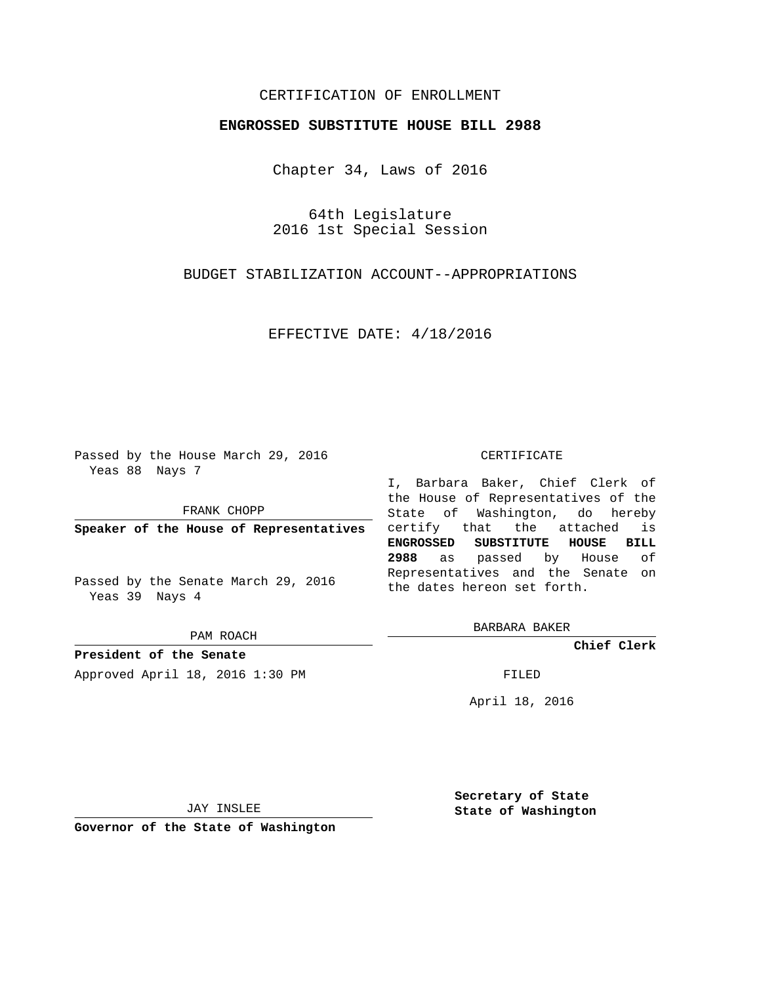## CERTIFICATION OF ENROLLMENT

## **ENGROSSED SUBSTITUTE HOUSE BILL 2988**

Chapter 34, Laws of 2016

64th Legislature 2016 1st Special Session

# BUDGET STABILIZATION ACCOUNT--APPROPRIATIONS

EFFECTIVE DATE: 4/18/2016

Passed by the House March 29, 2016 Yeas 88 Nays 7

FRANK CHOPP

**Speaker of the House of Representatives**

Passed by the Senate March 29, 2016 Yeas 39 Nays 4

PAM ROACH

**President of the Senate** Approved April 18, 2016 1:30 PM FILED

#### CERTIFICATE

I, Barbara Baker, Chief Clerk of the House of Representatives of the State of Washington, do hereby certify that the attached is **ENGROSSED SUBSTITUTE HOUSE BILL 2988** as passed by House of Representatives and the Senate on the dates hereon set forth.

BARBARA BAKER

**Chief Clerk**

April 18, 2016

JAY INSLEE

**Governor of the State of Washington**

**Secretary of State State of Washington**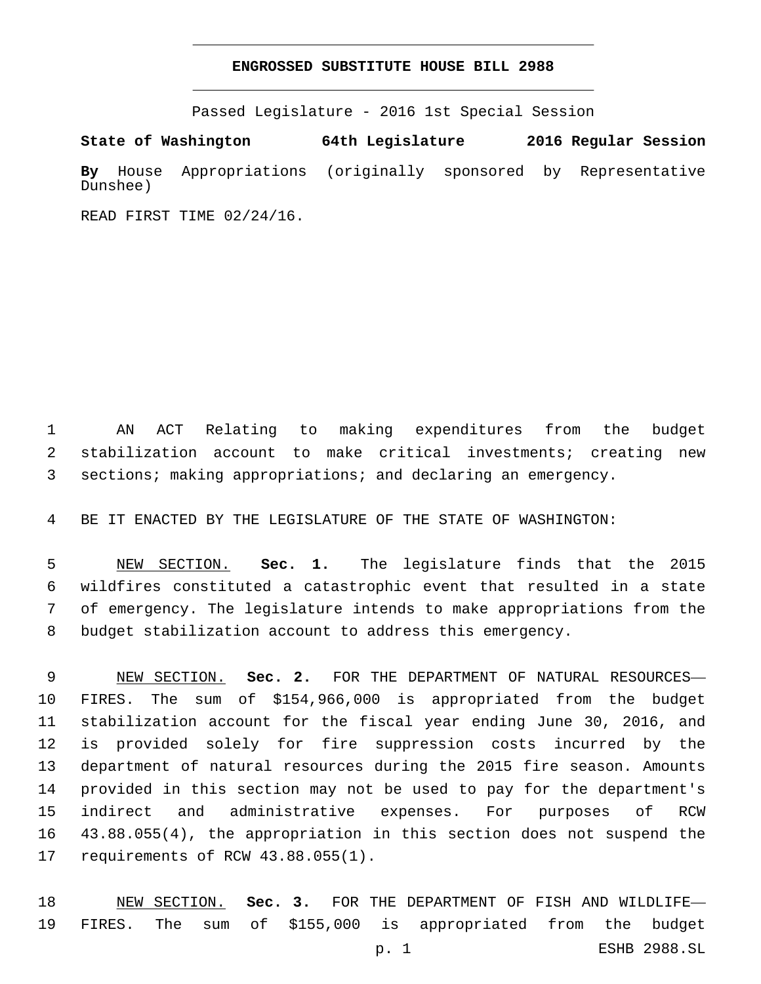### **ENGROSSED SUBSTITUTE HOUSE BILL 2988**

Passed Legislature - 2016 1st Special Session

**State of Washington 64th Legislature 2016 Regular Session By** House Appropriations (originally sponsored by Representative Dunshee)

READ FIRST TIME 02/24/16.

 AN ACT Relating to making expenditures from the budget stabilization account to make critical investments; creating new sections; making appropriations; and declaring an emergency.

BE IT ENACTED BY THE LEGISLATURE OF THE STATE OF WASHINGTON:

 NEW SECTION. **Sec. 1.** The legislature finds that the 2015 wildfires constituted a catastrophic event that resulted in a state of emergency. The legislature intends to make appropriations from the budget stabilization account to address this emergency.

 NEW SECTION. **Sec. 2.** FOR THE DEPARTMENT OF NATURAL RESOURCES— FIRES. The sum of \$154,966,000 is appropriated from the budget stabilization account for the fiscal year ending June 30, 2016, and is provided solely for fire suppression costs incurred by the department of natural resources during the 2015 fire season. Amounts provided in this section may not be used to pay for the department's indirect and administrative expenses. For purposes of RCW 43.88.055(4), the appropriation in this section does not suspend the requirements of RCW 43.88.055(1).

 NEW SECTION. **Sec. 3.** FOR THE DEPARTMENT OF FISH AND WILDLIFE— FIRES. The sum of \$155,000 is appropriated from the budget